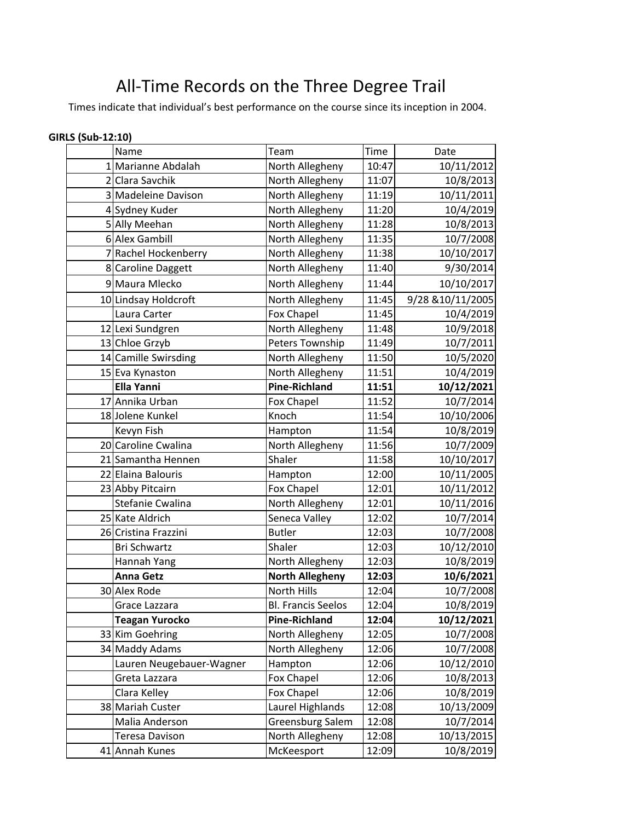## All-Time Records on the Three Degree Trail

Times indicate that individual's best performance on the course since its inception in 2004.

| <b>GIRLS (Sub-12:10)</b> |                          |                           |       |                   |
|--------------------------|--------------------------|---------------------------|-------|-------------------|
|                          | Name                     | Team                      | Time  | Date              |
|                          | 1 Marianne Abdalah       | North Allegheny           | 10:47 | 10/11/2012        |
|                          | 2 Clara Savchik          | North Allegheny           | 11:07 | 10/8/2013         |
|                          | 3 Madeleine Davison      | North Allegheny           | 11:19 | 10/11/2011        |
|                          | 4 Sydney Kuder           | North Allegheny           | 11:20 | 10/4/2019         |
|                          | 5 Ally Meehan            | North Allegheny           | 11:28 | 10/8/2013         |
|                          | 6 Alex Gambill           | North Allegheny           | 11:35 | 10/7/2008         |
|                          | 7 Rachel Hockenberry     | North Allegheny           | 11:38 | 10/10/2017        |
|                          | 8 Caroline Daggett       | North Allegheny           | 11:40 | 9/30/2014         |
|                          | 9 Maura Mlecko           | North Allegheny           | 11:44 | 10/10/2017        |
|                          | 10 Lindsay Holdcroft     | North Allegheny           | 11:45 | 9/28 & 10/11/2005 |
|                          | Laura Carter             | Fox Chapel                | 11:45 | 10/4/2019         |
|                          | 12 Lexi Sundgren         | North Allegheny           | 11:48 | 10/9/2018         |
|                          | 13 Chloe Grzyb           | Peters Township           | 11:49 | 10/7/2011         |
|                          | 14 Camille Swirsding     | North Allegheny           | 11:50 | 10/5/2020         |
|                          | 15 Eva Kynaston          | North Allegheny           | 11:51 | 10/4/2019         |
|                          | <b>Ella Yanni</b>        | <b>Pine-Richland</b>      | 11:51 | 10/12/2021        |
|                          | 17 Annika Urban          | Fox Chapel                | 11:52 | 10/7/2014         |
|                          | 18 Jolene Kunkel         | Knoch                     | 11:54 | 10/10/2006        |
|                          | Kevyn Fish               | Hampton                   | 11:54 | 10/8/2019         |
|                          | 20 Caroline Cwalina      | North Allegheny           | 11:56 | 10/7/2009         |
|                          | 21 Samantha Hennen       | Shaler                    | 11:58 | 10/10/2017        |
|                          | 22 Elaina Balouris       | Hampton                   | 12:00 | 10/11/2005        |
|                          | 23 Abby Pitcairn         | Fox Chapel                | 12:01 | 10/11/2012        |
|                          | Stefanie Cwalina         | North Allegheny           | 12:01 | 10/11/2016        |
|                          | 25 Kate Aldrich          | Seneca Valley             | 12:02 | 10/7/2014         |
|                          | 26 Cristina Frazzini     | <b>Butler</b>             | 12:03 | 10/7/2008         |
|                          | <b>Bri Schwartz</b>      | Shaler                    | 12:03 | 10/12/2010        |
|                          | Hannah Yang              | North Allegheny           | 12:03 | 10/8/2019         |
|                          | <b>Anna Getz</b>         | <b>North Allegheny</b>    | 12:03 | 10/6/2021         |
|                          | 30 Alex Rode             | North Hills               | 12:04 | 10/7/2008         |
|                          | Grace Lazzara            | <b>Bl. Francis Seelos</b> | 12:04 | 10/8/2019         |
|                          | <b>Teagan Yurocko</b>    | <b>Pine-Richland</b>      | 12:04 | 10/12/2021        |
|                          | 33 Kim Goehring          | North Allegheny           | 12:05 | 10/7/2008         |
|                          | 34 Maddy Adams           | North Allegheny           | 12:06 | 10/7/2008         |
|                          | Lauren Neugebauer-Wagner | Hampton                   | 12:06 | 10/12/2010        |
|                          | Greta Lazzara            | Fox Chapel                | 12:06 | 10/8/2013         |
|                          | Clara Kelley             | Fox Chapel                | 12:06 | 10/8/2019         |
|                          | 38 Mariah Custer         | Laurel Highlands          | 12:08 | 10/13/2009        |
|                          | Malia Anderson           | Greensburg Salem          | 12:08 | 10/7/2014         |
|                          | Teresa Davison           | North Allegheny           | 12:08 | 10/13/2015        |
|                          | 41 Annah Kunes           | McKeesport                | 12:09 | 10/8/2019         |